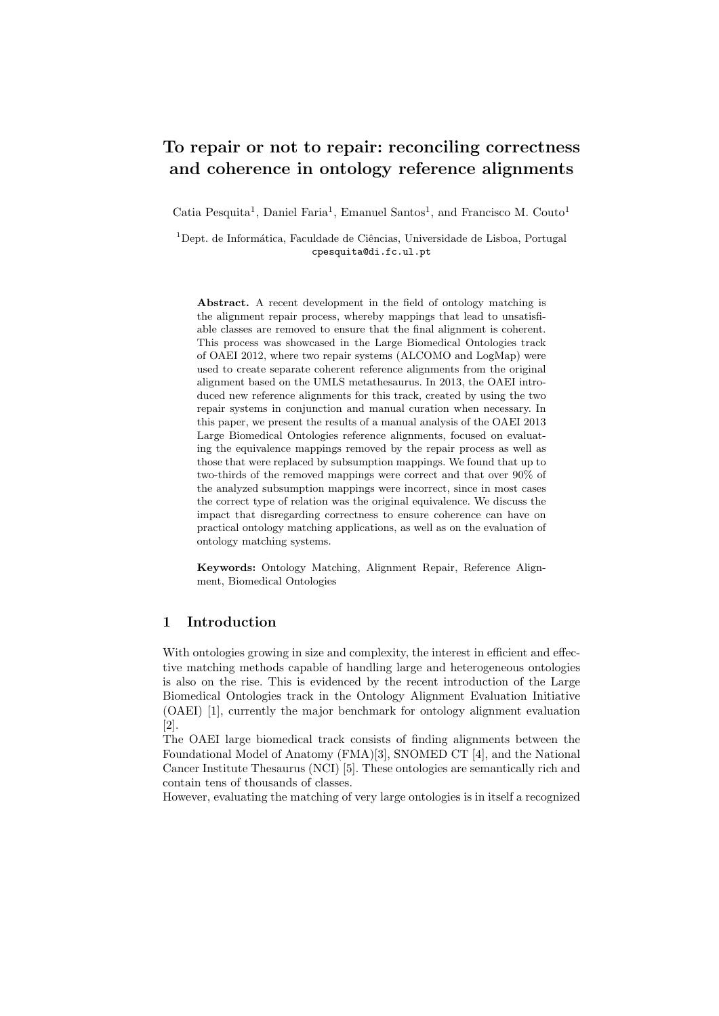# To repair or not to repair: reconciling correctness and coherence in ontology reference alignments

Catia Pesquita<sup>1</sup>, Daniel Faria<sup>1</sup>, Emanuel Santos<sup>1</sup>, and Francisco M. Couto<sup>1</sup>

 $1$ Dept. de Informática, Faculdade de Ciências, Universidade de Lisboa, Portugal cpesquita@di.fc.ul.pt

Abstract. A recent development in the field of ontology matching is the alignment repair process, whereby mappings that lead to unsatisfiable classes are removed to ensure that the final alignment is coherent. This process was showcased in the Large Biomedical Ontologies track of OAEI 2012, where two repair systems (ALCOMO and LogMap) were used to create separate coherent reference alignments from the original alignment based on the UMLS metathesaurus. In 2013, the OAEI introduced new reference alignments for this track, created by using the two repair systems in conjunction and manual curation when necessary. In this paper, we present the results of a manual analysis of the OAEI 2013 Large Biomedical Ontologies reference alignments, focused on evaluating the equivalence mappings removed by the repair process as well as those that were replaced by subsumption mappings. We found that up to two-thirds of the removed mappings were correct and that over 90% of the analyzed subsumption mappings were incorrect, since in most cases the correct type of relation was the original equivalence. We discuss the impact that disregarding correctness to ensure coherence can have on practical ontology matching applications, as well as on the evaluation of ontology matching systems.

Keywords: Ontology Matching, Alignment Repair, Reference Alignment, Biomedical Ontologies

## 1 Introduction

With ontologies growing in size and complexity, the interest in efficient and effective matching methods capable of handling large and heterogeneous ontologies is also on the rise. This is evidenced by the recent introduction of the Large Biomedical Ontologies track in the Ontology Alignment Evaluation Initiative (OAEI) [1], currently the major benchmark for ontology alignment evaluation [2].

The OAEI large biomedical track consists of finding alignments between the Foundational Model of Anatomy (FMA)[3], SNOMED CT [4], and the National Cancer Institute Thesaurus (NCI) [5]. These ontologies are semantically rich and contain tens of thousands of classes.

However, evaluating the matching of very large ontologies is in itself a recognized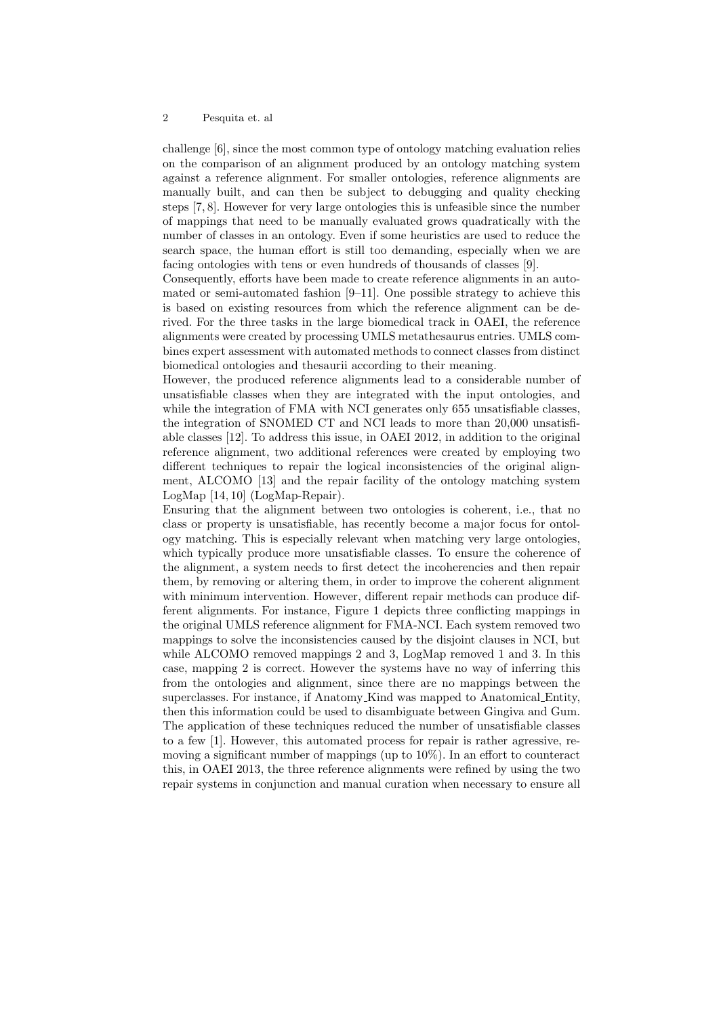challenge [6], since the most common type of ontology matching evaluation relies on the comparison of an alignment produced by an ontology matching system against a reference alignment. For smaller ontologies, reference alignments are manually built, and can then be subject to debugging and quality checking steps [7, 8]. However for very large ontologies this is unfeasible since the number of mappings that need to be manually evaluated grows quadratically with the number of classes in an ontology. Even if some heuristics are used to reduce the search space, the human effort is still too demanding, especially when we are facing ontologies with tens or even hundreds of thousands of classes [9].

Consequently, efforts have been made to create reference alignments in an automated or semi-automated fashion  $[9-11]$ . One possible strategy to achieve this is based on existing resources from which the reference alignment can be derived. For the three tasks in the large biomedical track in OAEI, the reference alignments were created by processing UMLS metathesaurus entries. UMLS combines expert assessment with automated methods to connect classes from distinct biomedical ontologies and thesaurii according to their meaning.

However, the produced reference alignments lead to a considerable number of unsatisfiable classes when they are integrated with the input ontologies, and while the integration of FMA with NCI generates only 655 unsatisfiable classes, the integration of SNOMED CT and NCI leads to more than 20,000 unsatisfiable classes [12]. To address this issue, in OAEI 2012, in addition to the original reference alignment, two additional references were created by employing two different techniques to repair the logical inconsistencies of the original alignment, ALCOMO [13] and the repair facility of the ontology matching system LogMap [14, 10] (LogMap-Repair).

Ensuring that the alignment between two ontologies is coherent, i.e., that no class or property is unsatisfiable, has recently become a major focus for ontology matching. This is especially relevant when matching very large ontologies, which typically produce more unsatisfiable classes. To ensure the coherence of the alignment, a system needs to first detect the incoherencies and then repair them, by removing or altering them, in order to improve the coherent alignment with minimum intervention. However, different repair methods can produce different alignments. For instance, Figure 1 depicts three conflicting mappings in the original UMLS reference alignment for FMA-NCI. Each system removed two mappings to solve the inconsistencies caused by the disjoint clauses in NCI, but while ALCOMO removed mappings 2 and 3, LogMap removed 1 and 3. In this case, mapping 2 is correct. However the systems have no way of inferring this from the ontologies and alignment, since there are no mappings between the superclasses. For instance, if Anatomy Kind was mapped to Anatomical Entity, then this information could be used to disambiguate between Gingiva and Gum. The application of these techniques reduced the number of unsatisfiable classes to a few [1]. However, this automated process for repair is rather agressive, removing a significant number of mappings (up to 10%). In an effort to counteract this, in OAEI 2013, the three reference alignments were refined by using the two repair systems in conjunction and manual curation when necessary to ensure all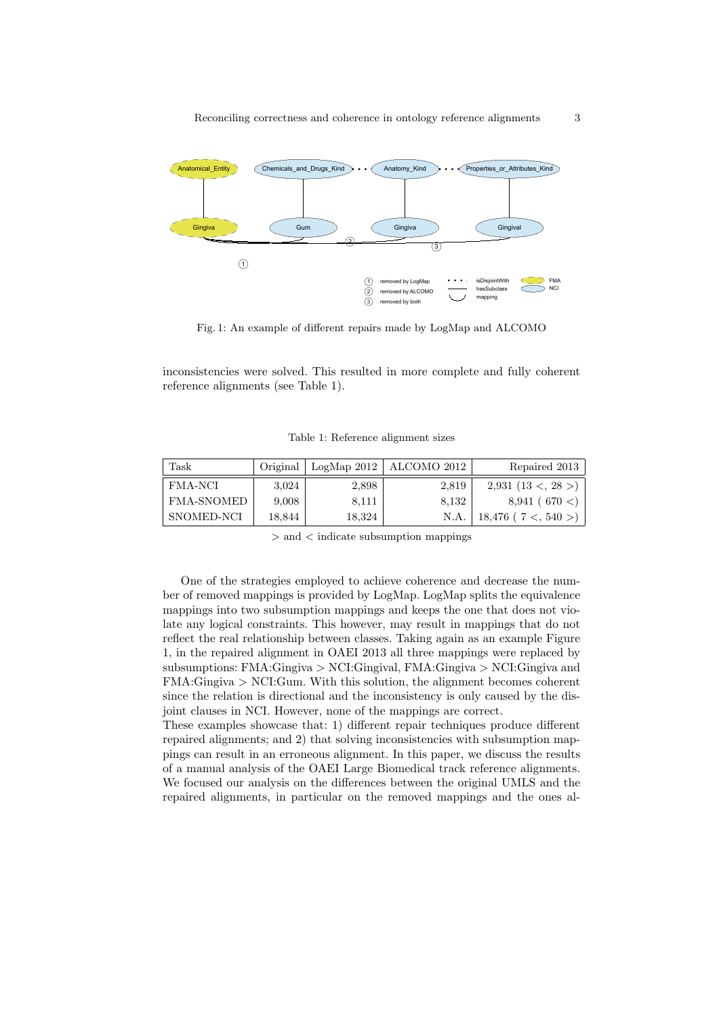

Fig. 1: An example of different repairs made by LogMap and ALCOMO

inconsistencies were solved. This resulted in more complete and fully coherent reference alignments (see Table 1).

Table 1: Reference alignment sizes

| Task       | Original |        | LogMap 2012   ALCOMO 2012 | Repaired 2013           |
|------------|----------|--------|---------------------------|-------------------------|
| FMA-NCI    | 3,024    | 2,898  | 2,819                     | $2,931$ (13 <, 28 >)    |
| FMA-SNOMED | 9,008    | 8,111  | 8,132                     | 8,941(670)              |
| SNOMED-NCI | 18,844   | 18,324 | N.A.                      | $18,476$ ( $7 < 540$ >) |

> and < indicate subsumption mappings

One of the strategies employed to achieve coherence and decrease the number of removed mappings is provided by LogMap. LogMap splits the equivalence mappings into two subsumption mappings and keeps the one that does not violate any logical constraints. This however, may result in mappings that do not reflect the real relationship between classes. Taking again as an example Figure 1, in the repaired alignment in OAEI 2013 all three mappings were replaced by subsumptions: FMA:Gingiva > NCI:Gingival, FMA:Gingiva > NCI:Gingiva and FMA:Gingiva > NCI:Gum. With this solution, the alignment becomes coherent since the relation is directional and the inconsistency is only caused by the disjoint clauses in NCI. However, none of the mappings are correct.

These examples showcase that: 1) different repair techniques produce different repaired alignments; and 2) that solving inconsistencies with subsumption mappings can result in an erroneous alignment. In this paper, we discuss the results of a manual analysis of the OAEI Large Biomedical track reference alignments. We focused our analysis on the differences between the original UMLS and the repaired alignments, in particular on the removed mappings and the ones al-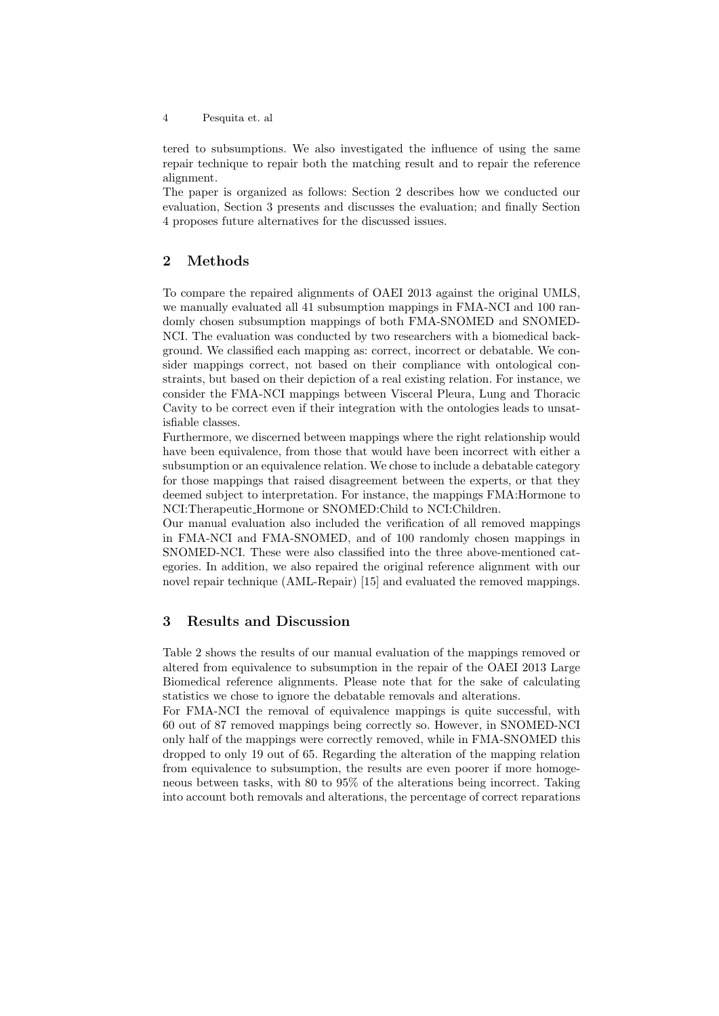tered to subsumptions. We also investigated the influence of using the same repair technique to repair both the matching result and to repair the reference alignment.

The paper is organized as follows: Section 2 describes how we conducted our evaluation, Section 3 presents and discusses the evaluation; and finally Section 4 proposes future alternatives for the discussed issues.

## 2 Methods

To compare the repaired alignments of OAEI 2013 against the original UMLS, we manually evaluated all 41 subsumption mappings in FMA-NCI and 100 randomly chosen subsumption mappings of both FMA-SNOMED and SNOMED-NCI. The evaluation was conducted by two researchers with a biomedical background. We classified each mapping as: correct, incorrect or debatable. We consider mappings correct, not based on their compliance with ontological constraints, but based on their depiction of a real existing relation. For instance, we consider the FMA-NCI mappings between Visceral Pleura, Lung and Thoracic Cavity to be correct even if their integration with the ontologies leads to unsatisfiable classes.

Furthermore, we discerned between mappings where the right relationship would have been equivalence, from those that would have been incorrect with either a subsumption or an equivalence relation. We chose to include a debatable category for those mappings that raised disagreement between the experts, or that they deemed subject to interpretation. For instance, the mappings FMA:Hormone to NCI:Therapeutic Hormone or SNOMED:Child to NCI:Children.

Our manual evaluation also included the verification of all removed mappings in FMA-NCI and FMA-SNOMED, and of 100 randomly chosen mappings in SNOMED-NCI. These were also classified into the three above-mentioned categories. In addition, we also repaired the original reference alignment with our novel repair technique (AML-Repair) [15] and evaluated the removed mappings.

## 3 Results and Discussion

Table 2 shows the results of our manual evaluation of the mappings removed or altered from equivalence to subsumption in the repair of the OAEI 2013 Large Biomedical reference alignments. Please note that for the sake of calculating statistics we chose to ignore the debatable removals and alterations.

For FMA-NCI the removal of equivalence mappings is quite successful, with 60 out of 87 removed mappings being correctly so. However, in SNOMED-NCI only half of the mappings were correctly removed, while in FMA-SNOMED this dropped to only 19 out of 65. Regarding the alteration of the mapping relation from equivalence to subsumption, the results are even poorer if more homogeneous between tasks, with 80 to 95% of the alterations being incorrect. Taking into account both removals and alterations, the percentage of correct reparations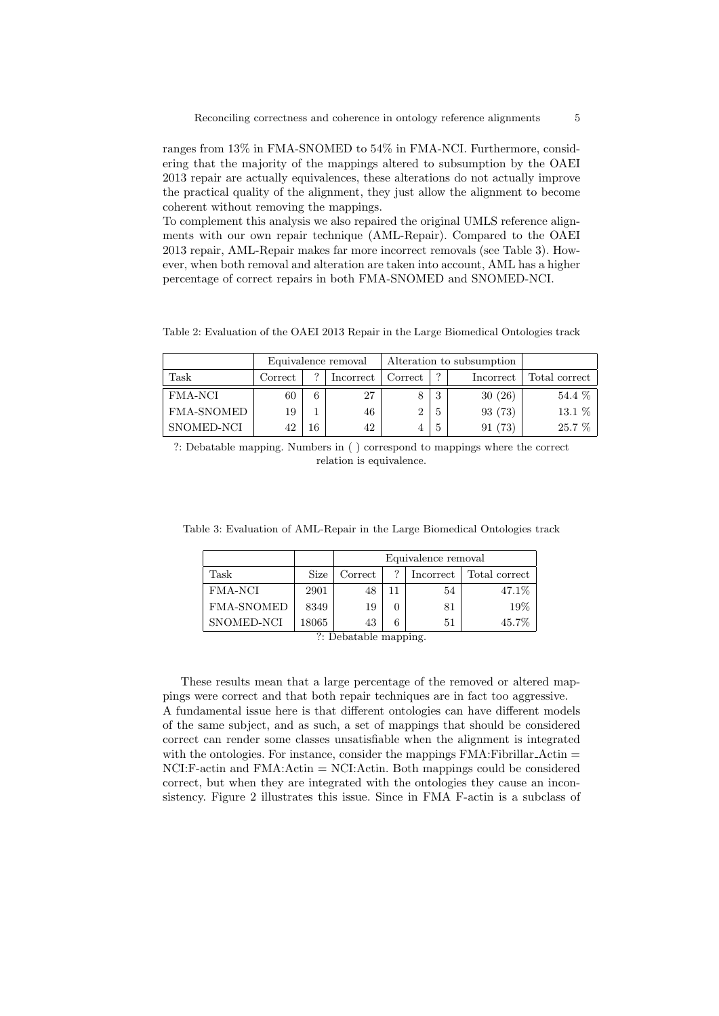ranges from 13% in FMA-SNOMED to 54% in FMA-NCI. Furthermore, considering that the majority of the mappings altered to subsumption by the OAEI 2013 repair are actually equivalences, these alterations do not actually improve the practical quality of the alignment, they just allow the alignment to become coherent without removing the mappings.

To complement this analysis we also repaired the original UMLS reference alignments with our own repair technique (AML-Repair). Compared to the OAEI 2013 repair, AML-Repair makes far more incorrect removals (see Table 3). However, when both removal and alteration are taken into account, AML has a higher percentage of correct repairs in both FMA-SNOMED and SNOMED-NCI.

Table 2: Evaluation of the OAEI 2013 Repair in the Large Biomedical Ontologies track

|                   |         | Equivalence removal | Alteration to subsumption |         |               |            |               |
|-------------------|---------|---------------------|---------------------------|---------|---------------|------------|---------------|
| Task              | Correct | $\Omega$            | Incorrect                 | Correct | ∍             | Incorrect  | Total correct |
| FMA-NCI           | 60      | 6                   | 27                        |         | 3             | 30(26)     | 54.4 %        |
| <b>FMA-SNOMED</b> | 19      |                     | 46                        |         | Ð             | 93 (73)    | $13.1\%$      |
| SNOMED-NCI        | 42      | 16                  | 42                        |         | $\mathcal{D}$ | (73)<br>91 | 25.7 %        |

?: Debatable mapping. Numbers in ( ) correspond to mappings where the correct relation is equivalence.

|  |  |  |  | Table 3: Evaluation of AML-Repair in the Large Biomedical Ontologies track |  |  |  |  |  |  |
|--|--|--|--|----------------------------------------------------------------------------|--|--|--|--|--|--|
|--|--|--|--|----------------------------------------------------------------------------|--|--|--|--|--|--|

|                   |       | Equivalence removal |   |           |               |  |  |  |  |
|-------------------|-------|---------------------|---|-----------|---------------|--|--|--|--|
| Task              | Size  | Correct             | ? | Incorrect | Total correct |  |  |  |  |
| <b>FMA-NCI</b>    | 2901  | 48                  |   | 54        | 47.1\%        |  |  |  |  |
| <b>FMA-SNOMED</b> | 8349  | 19                  |   | 81        | 19%           |  |  |  |  |
| SNOMED-NCI        | 18065 | 43                  |   | 51        | 45.7%         |  |  |  |  |

?: Debatable mapping.

These results mean that a large percentage of the removed or altered mappings were correct and that both repair techniques are in fact too aggressive. A fundamental issue here is that different ontologies can have different models of the same subject, and as such, a set of mappings that should be considered correct can render some classes unsatisfiable when the alignment is integrated with the ontologies. For instance, consider the mappings  $\text{FMA:}\text{Fibrillar}\_\text{Actin} =$ NCI:F-actin and FMA:Actin = NCI:Actin. Both mappings could be considered correct, but when they are integrated with the ontologies they cause an inconsistency. Figure 2 illustrates this issue. Since in FMA F-actin is a subclass of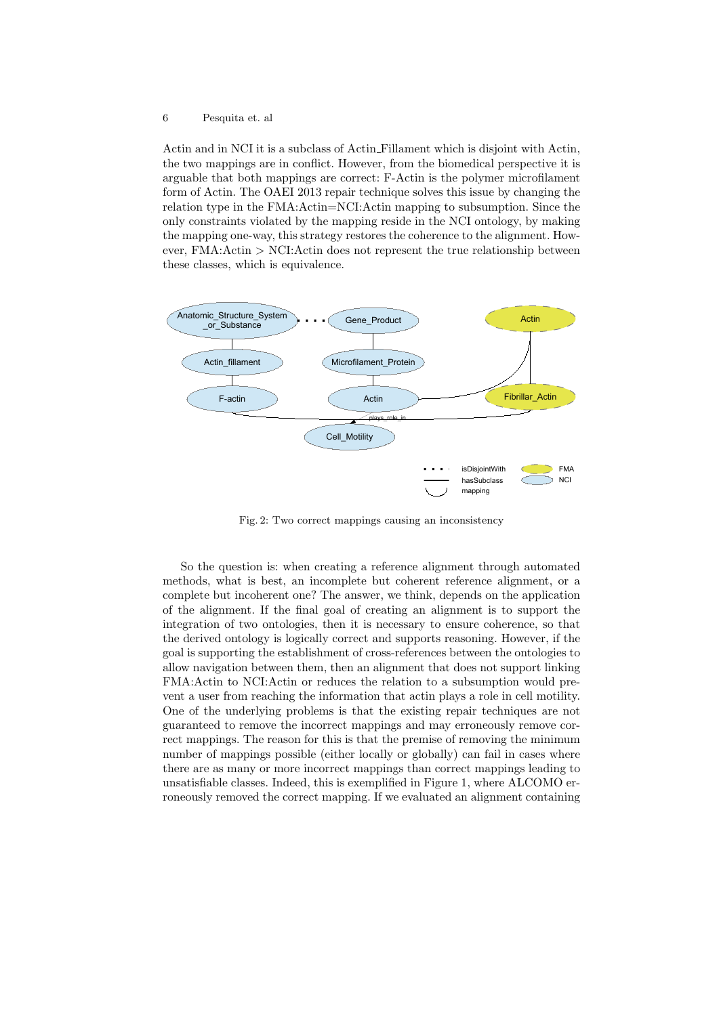Actin and in NCI it is a subclass of Actin Fillament which is disjoint with Actin, the two mappings are in conflict. However, from the biomedical perspective it is arguable that both mappings are correct: F-Actin is the polymer microfilament form of Actin. The OAEI 2013 repair technique solves this issue by changing the relation type in the FMA:Actin=NCI:Actin mapping to subsumption. Since the only constraints violated by the mapping reside in the NCI ontology, by making the mapping one-way, this strategy restores the coherence to the alignment. However,  $FMA: Actin > NCI: Actin$  does not represent the true relationship between these classes, which is equivalence.



Fig. 2: Two correct mappings causing an inconsistency

So the question is: when creating a reference alignment through automated methods, what is best, an incomplete but coherent reference alignment, or a complete but incoherent one? The answer, we think, depends on the application of the alignment. If the final goal of creating an alignment is to support the integration of two ontologies, then it is necessary to ensure coherence, so that the derived ontology is logically correct and supports reasoning. However, if the goal is supporting the establishment of cross-references between the ontologies to allow navigation between them, then an alignment that does not support linking FMA:Actin to NCI:Actin or reduces the relation to a subsumption would prevent a user from reaching the information that actin plays a role in cell motility. One of the underlying problems is that the existing repair techniques are not guaranteed to remove the incorrect mappings and may erroneously remove correct mappings. The reason for this is that the premise of removing the minimum number of mappings possible (either locally or globally) can fail in cases where there are as many or more incorrect mappings than correct mappings leading to unsatisfiable classes. Indeed, this is exemplified in Figure 1, where ALCOMO erroneously removed the correct mapping. If we evaluated an alignment containing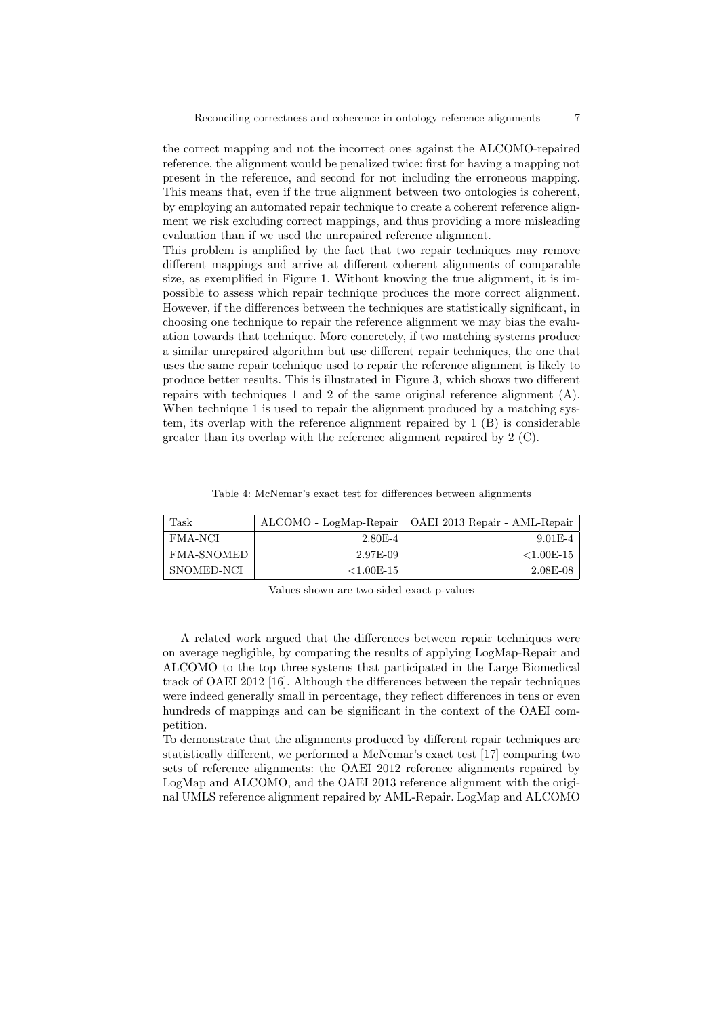the correct mapping and not the incorrect ones against the ALCOMO-repaired reference, the alignment would be penalized twice: first for having a mapping not present in the reference, and second for not including the erroneous mapping. This means that, even if the true alignment between two ontologies is coherent, by employing an automated repair technique to create a coherent reference alignment we risk excluding correct mappings, and thus providing a more misleading evaluation than if we used the unrepaired reference alignment.

This problem is amplified by the fact that two repair techniques may remove different mappings and arrive at different coherent alignments of comparable size, as exemplified in Figure 1. Without knowing the true alignment, it is impossible to assess which repair technique produces the more correct alignment. However, if the differences between the techniques are statistically significant, in choosing one technique to repair the reference alignment we may bias the evaluation towards that technique. More concretely, if two matching systems produce a similar unrepaired algorithm but use different repair techniques, the one that uses the same repair technique used to repair the reference alignment is likely to produce better results. This is illustrated in Figure 3, which shows two different repairs with techniques 1 and 2 of the same original reference alignment (A). When technique 1 is used to repair the alignment produced by a matching system, its overlap with the reference alignment repaired by 1 (B) is considerable greater than its overlap with the reference alignment repaired by 2 (C).

Table 4: McNemar's exact test for differences between alignments

| Task              |               | ALCOMO - LogMap-Repair   OAEI 2013 Repair - AML-Repair |
|-------------------|---------------|--------------------------------------------------------|
| FMA-NCI           | $2.80E - 4$   | $9.01E-4$                                              |
| <b>FMA-SNOMED</b> | 2.97E-09      | ${<}1.00$ E-15                                         |
| SNOMED-NCI        | ${<}1.00E-15$ | 2.08E-08                                               |

Values shown are two-sided exact p-values

A related work argued that the differences between repair techniques were on average negligible, by comparing the results of applying LogMap-Repair and ALCOMO to the top three systems that participated in the Large Biomedical track of OAEI 2012 [16]. Although the differences between the repair techniques were indeed generally small in percentage, they reflect differences in tens or even hundreds of mappings and can be significant in the context of the OAEI competition.

To demonstrate that the alignments produced by different repair techniques are statistically different, we performed a McNemar's exact test [17] comparing two sets of reference alignments: the OAEI 2012 reference alignments repaired by LogMap and ALCOMO, and the OAEI 2013 reference alignment with the original UMLS reference alignment repaired by AML-Repair. LogMap and ALCOMO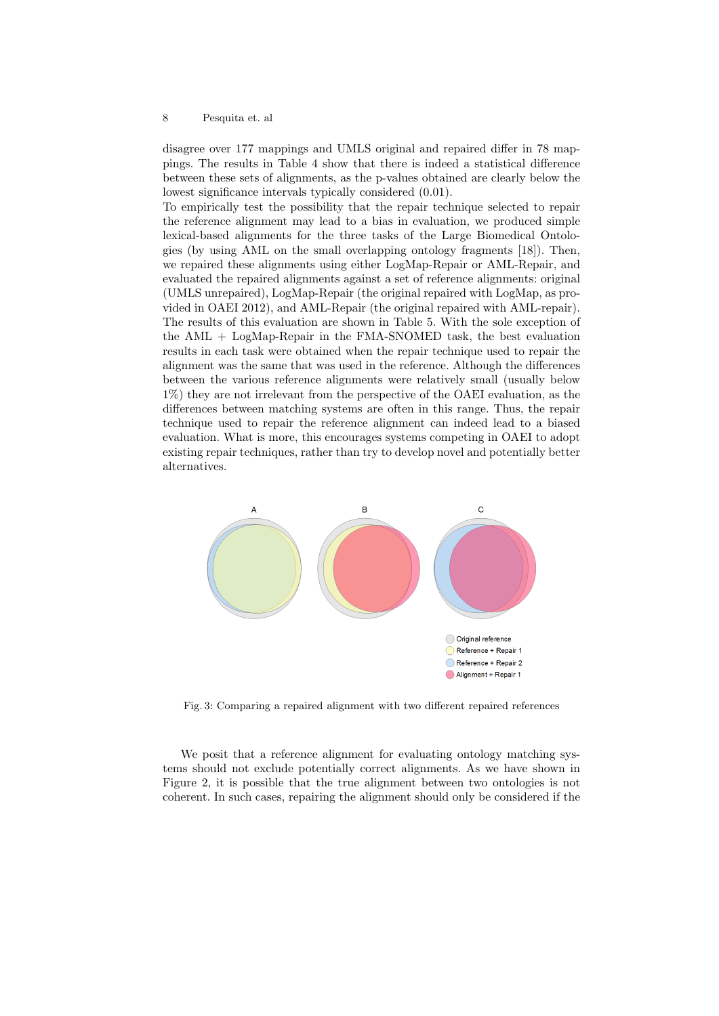disagree over 177 mappings and UMLS original and repaired differ in 78 mappings. The results in Table 4 show that there is indeed a statistical difference between these sets of alignments, as the p-values obtained are clearly below the lowest significance intervals typically considered (0.01).

To empirically test the possibility that the repair technique selected to repair the reference alignment may lead to a bias in evaluation, we produced simple lexical-based alignments for the three tasks of the Large Biomedical Ontologies (by using AML on the small overlapping ontology fragments [18]). Then, we repaired these alignments using either LogMap-Repair or AML-Repair, and evaluated the repaired alignments against a set of reference alignments: original (UMLS unrepaired), LogMap-Repair (the original repaired with LogMap, as provided in OAEI 2012), and AML-Repair (the original repaired with AML-repair). The results of this evaluation are shown in Table 5. With the sole exception of the AML + LogMap-Repair in the FMA-SNOMED task, the best evaluation results in each task were obtained when the repair technique used to repair the alignment was the same that was used in the reference. Although the differences between the various reference alignments were relatively small (usually below 1%) they are not irrelevant from the perspective of the OAEI evaluation, as the differences between matching systems are often in this range. Thus, the repair technique used to repair the reference alignment can indeed lead to a biased evaluation. What is more, this encourages systems competing in OAEI to adopt existing repair techniques, rather than try to develop novel and potentially better alternatives.



Fig. 3: Comparing a repaired alignment with two different repaired references

We posit that a reference alignment for evaluating ontology matching systems should not exclude potentially correct alignments. As we have shown in Figure 2, it is possible that the true alignment between two ontologies is not coherent. In such cases, repairing the alignment should only be considered if the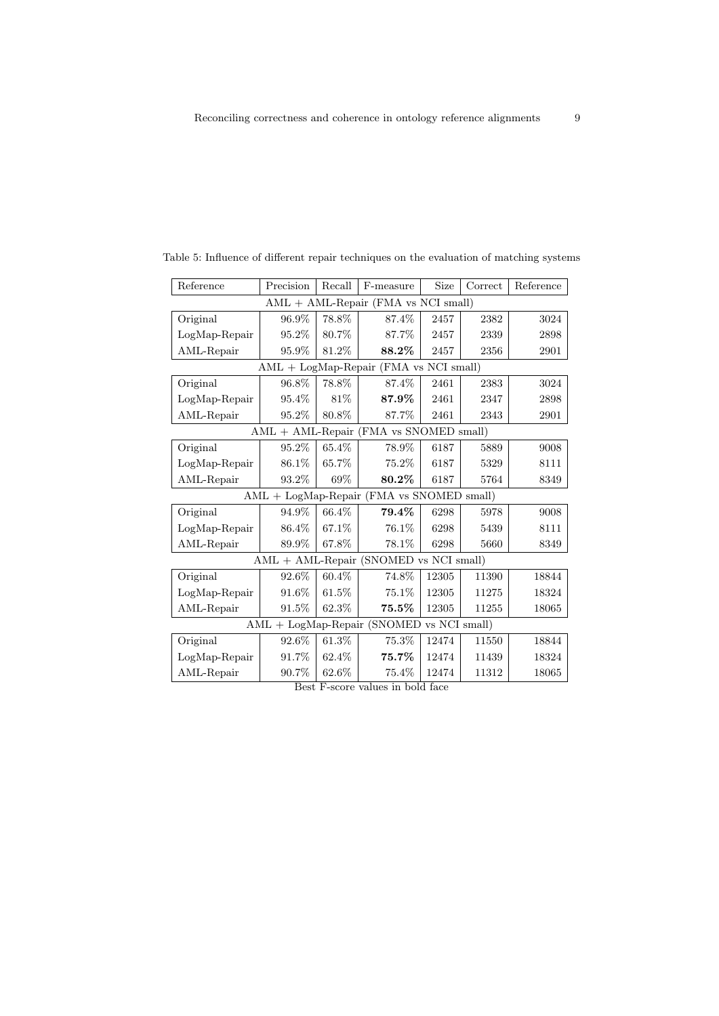| Reference                                               | Precision                                 | Recall | F-measure                              | Size  | Correct | Reference |  |  |  |
|---------------------------------------------------------|-------------------------------------------|--------|----------------------------------------|-------|---------|-----------|--|--|--|
| $AML + AML$ -Repair (FMA vs NCI small)                  |                                           |        |                                        |       |         |           |  |  |  |
| Original                                                | 96.9%                                     | 78.8%  | 87.4%                                  | 2457  | 2382    | 3024      |  |  |  |
| LogMap-Repair                                           | 95.2%                                     | 80.7%  | 87.7%                                  | 2457  | 2339    | 2898      |  |  |  |
| AML-Repair                                              | 95.9%                                     | 81.2%  | 88.2%                                  | 2457  | 2356    | 2901      |  |  |  |
| $\text{AML} + \text{LogMap-Replace}$ (FMA vs NCI small) |                                           |        |                                        |       |         |           |  |  |  |
| Original                                                | 96.8%                                     | 78.8%  | 87.4%                                  | 2461  | 2383    | 3024      |  |  |  |
| $LogMap$ -Repair                                        | 95.4%                                     | 81%    | 87.9%                                  | 2461  | 2347    | 2898      |  |  |  |
| AML-Repair                                              | 95.2%                                     | 80.8%  | 87.7%                                  | 2461  | 2343    | 2901      |  |  |  |
| AML + AML-Repair (FMA vs SNOMED small)                  |                                           |        |                                        |       |         |           |  |  |  |
| Original                                                | 95.2%                                     | 65.4%  | 78.9%                                  | 6187  | 5889    | 9008      |  |  |  |
| LogMap-Repair                                           | 86.1%                                     | 65.7%  | 75.2%                                  | 6187  | 5329    | 8111      |  |  |  |
| AML-Repair                                              | 93.2%                                     | 69%    | 80.2%                                  | 6187  | 5764    | 8349      |  |  |  |
|                                                         | AML + LogMap-Repair (FMA vs SNOMED small) |        |                                        |       |         |           |  |  |  |
| Original                                                | 94.9%                                     | 66.4%  | 79.4%                                  | 6298  | 5978    | 9008      |  |  |  |
| LogMap-Repair                                           | 86.4%                                     | 67.1\% | 76.1%                                  | 6298  | 5439    | 8111      |  |  |  |
| AML-Repair                                              | 89.9%                                     | 67.8%  | 78.1%                                  | 6298  | 5660    | 8349      |  |  |  |
|                                                         |                                           |        | AML + AML-Repair (SNOMED vs NCI small) |       |         |           |  |  |  |
| Original                                                | 92.6%                                     | 60.4%  | 74.8%                                  | 12305 | 11390   | 18844     |  |  |  |
| LogMap-Repair                                           | 91.6%                                     | 61.5%  | $75.1\%$                               | 12305 | 11275   | 18324     |  |  |  |
| AML-Repair                                              | 91.5%                                     | 62.3%  | 75.5%                                  | 12305 | 11255   | 18065     |  |  |  |
| AML + LogMap-Repair (SNOMED vs NCI small)               |                                           |        |                                        |       |         |           |  |  |  |
| Original                                                | 92.6%                                     | 61.3%  | 75.3%                                  | 12474 | 11550   | 18844     |  |  |  |
| LogMap-Repair                                           | 91.7%                                     | 62.4%  | $75.7\%$                               | 12474 | 11439   | 18324     |  |  |  |
| AML-Repair                                              | 90.7%                                     | 62.6%  | 75.4%                                  | 12474 | 11312   | 18065     |  |  |  |

Table 5: Influence of different repair techniques on the evaluation of matching systems

 $\overline{\phantom{a}}$ 

Best F-score values in bold face

 $\overline{\phantom{0}}$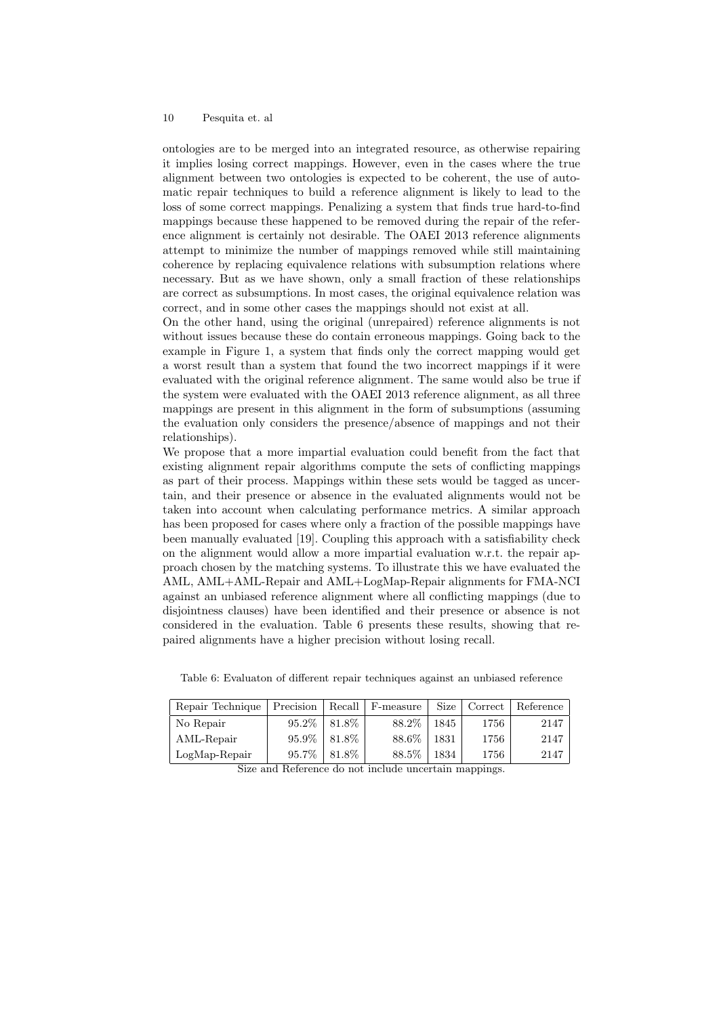ontologies are to be merged into an integrated resource, as otherwise repairing it implies losing correct mappings. However, even in the cases where the true alignment between two ontologies is expected to be coherent, the use of automatic repair techniques to build a reference alignment is likely to lead to the loss of some correct mappings. Penalizing a system that finds true hard-to-find mappings because these happened to be removed during the repair of the reference alignment is certainly not desirable. The OAEI 2013 reference alignments attempt to minimize the number of mappings removed while still maintaining coherence by replacing equivalence relations with subsumption relations where necessary. But as we have shown, only a small fraction of these relationships are correct as subsumptions. In most cases, the original equivalence relation was correct, and in some other cases the mappings should not exist at all.

On the other hand, using the original (unrepaired) reference alignments is not without issues because these do contain erroneous mappings. Going back to the example in Figure 1, a system that finds only the correct mapping would get a worst result than a system that found the two incorrect mappings if it were evaluated with the original reference alignment. The same would also be true if the system were evaluated with the OAEI 2013 reference alignment, as all three mappings are present in this alignment in the form of subsumptions (assuming the evaluation only considers the presence/absence of mappings and not their relationships).

We propose that a more impartial evaluation could benefit from the fact that existing alignment repair algorithms compute the sets of conflicting mappings as part of their process. Mappings within these sets would be tagged as uncertain, and their presence or absence in the evaluated alignments would not be taken into account when calculating performance metrics. A similar approach has been proposed for cases where only a fraction of the possible mappings have been manually evaluated [19]. Coupling this approach with a satisfiability check on the alignment would allow a more impartial evaluation w.r.t. the repair approach chosen by the matching systems. To illustrate this we have evaluated the AML, AML+AML-Repair and AML+LogMap-Repair alignments for FMA-NCI against an unbiased reference alignment where all conflicting mappings (due to disjointness clauses) have been identified and their presence or absence is not considered in the evaluation. Table 6 presents these results, showing that repaired alignments have a higher precision without losing recall.

| Repair Technique | Precision | Recall | F-measure | Size | Correct | Reference |
|------------------|-----------|--------|-----------|------|---------|-----------|
| No Repair        | 95.2%     | 81.8%  | 88.2%     | 1845 | 1756    | 2147      |
| AML-Repair       | 95.9%     | 81.8%  | 88.6%     | 1831 | 1756    | 2147      |
| $LogMap-Repeat$  | 95.7%     | 81.8%  | 88.5%     | 1834 | 1756    | 2147      |

Table 6: Evaluaton of different repair techniques against an unbiased reference

Size and Reference do not include uncertain mappings.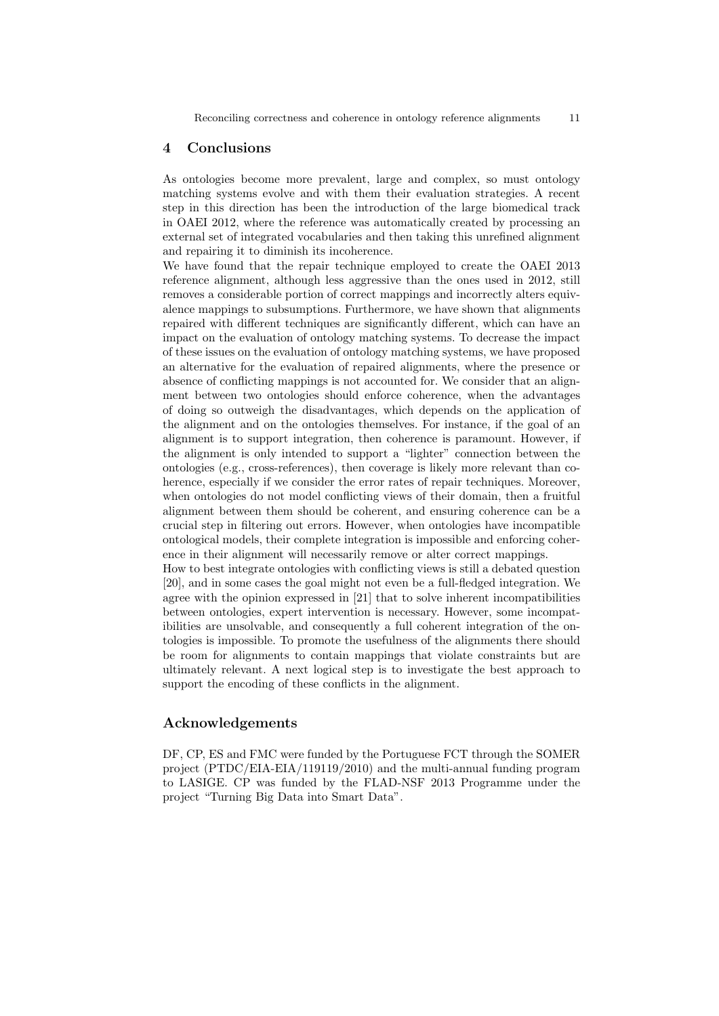#### 4 Conclusions

As ontologies become more prevalent, large and complex, so must ontology matching systems evolve and with them their evaluation strategies. A recent step in this direction has been the introduction of the large biomedical track in OAEI 2012, where the reference was automatically created by processing an external set of integrated vocabularies and then taking this unrefined alignment and repairing it to diminish its incoherence.

We have found that the repair technique employed to create the OAEI 2013 reference alignment, although less aggressive than the ones used in 2012, still removes a considerable portion of correct mappings and incorrectly alters equivalence mappings to subsumptions. Furthermore, we have shown that alignments repaired with different techniques are significantly different, which can have an impact on the evaluation of ontology matching systems. To decrease the impact of these issues on the evaluation of ontology matching systems, we have proposed an alternative for the evaluation of repaired alignments, where the presence or absence of conflicting mappings is not accounted for. We consider that an alignment between two ontologies should enforce coherence, when the advantages of doing so outweigh the disadvantages, which depends on the application of the alignment and on the ontologies themselves. For instance, if the goal of an alignment is to support integration, then coherence is paramount. However, if the alignment is only intended to support a "lighter" connection between the ontologies (e.g., cross-references), then coverage is likely more relevant than coherence, especially if we consider the error rates of repair techniques. Moreover, when ontologies do not model conflicting views of their domain, then a fruitful alignment between them should be coherent, and ensuring coherence can be a crucial step in filtering out errors. However, when ontologies have incompatible ontological models, their complete integration is impossible and enforcing coherence in their alignment will necessarily remove or alter correct mappings.

How to best integrate ontologies with conflicting views is still a debated question [20], and in some cases the goal might not even be a full-fledged integration. We agree with the opinion expressed in [21] that to solve inherent incompatibilities between ontologies, expert intervention is necessary. However, some incompatibilities are unsolvable, and consequently a full coherent integration of the ontologies is impossible. To promote the usefulness of the alignments there should be room for alignments to contain mappings that violate constraints but are ultimately relevant. A next logical step is to investigate the best approach to support the encoding of these conflicts in the alignment.

### Acknowledgements

DF, CP, ES and FMC were funded by the Portuguese FCT through the SOMER project (PTDC/EIA-EIA/119119/2010) and the multi-annual funding program to LASIGE. CP was funded by the FLAD-NSF 2013 Programme under the project "Turning Big Data into Smart Data".